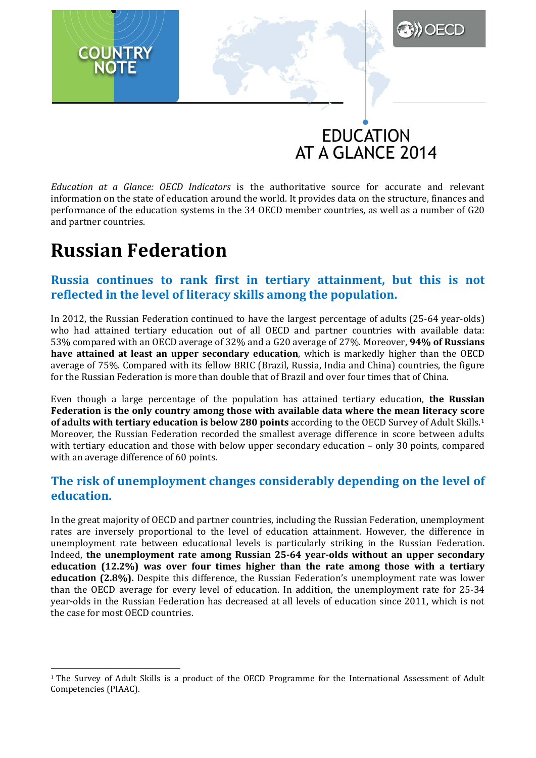

**DECD** 

*Education at a Glance: OECD Indicators* is the authoritative source for accurate and relevant information on the state of education around the world. It provides data on the structure, finances and performance of the education systems in the 34 OECD member countries, as well as a number of G20 and partner countries.

## **Russian Federation**

### **Russia continues to rank first in tertiary attainment, but this is not reflected in the level of literacy skills among the population.**

In 2012, the Russian Federation continued to have the largest percentage of adults (25-64 year-olds) who had attained tertiary education out of all OECD and partner countries with available data: 53% compared with an OECD average of 32% and a G20 average of 27%. Moreover, **94% of Russians have attained at least an upper secondary education**, which is markedly higher than the OECD average of 75%. Compared with its fellow BRIC (Brazil, Russia, India and China) countries, the figure for the Russian Federation is more than double that of Brazil and over four times that of China.

Even though a large percentage of the population has attained tertiary education, **the Russian Federation is the only country among those with available data where the mean literacy scor[e](#page-0-0)  of adults with tertiary education is below 280 points** according to the OECD Survey of Adult Skills.1 Moreover, the Russian Federation recorded the smallest average difference in score between adults with tertiary education and those with below upper secondary education – only 30 points, compared with an average difference of 60 points.

### **The risk of unemployment changes considerably depending on the level of education.**

In the great majority of OECD and partner countries, including the Russian Federation, unemployment rates are inversely proportional to the level of education attainment. However, the difference in unemployment rate between educational levels is particularly striking in the Russian Federation. Indeed, **the unemployment rate among Russian 25-64 year-olds without an upper secondary education (12.2%) was over four times higher than the rate among those with a tertiary education (2.8%).** Despite this difference, the Russian Federation's unemployment rate was lower than the OECD average for every level of education. In addition, the unemployment rate for 25-34 year-olds in the Russian Federation has decreased at all levels of education since 2011, which is not the case for most OECD countries.

<span id="page-0-0"></span><sup>&</sup>lt;sup>1</sup> The Survey of Adult Skills is a product of the OECD Programme for the International Assessment of Adult Competencies (PIAAC). -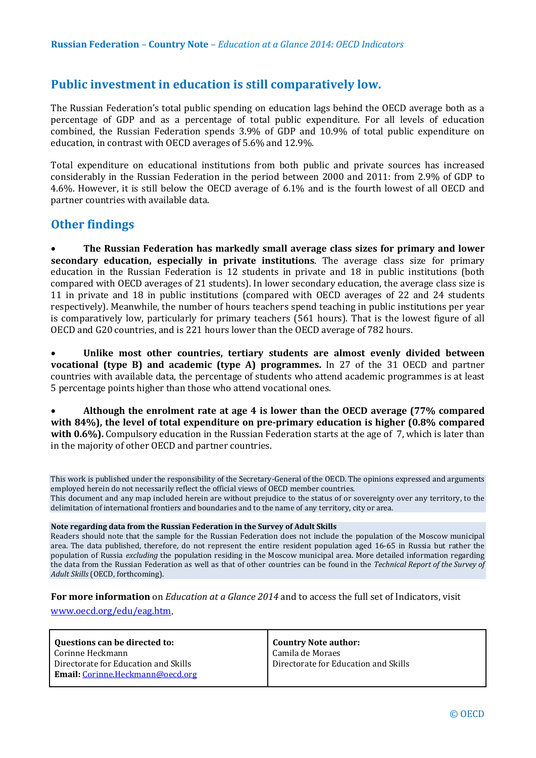### **Public investment in education is still comparatively low.**

The Russian Federation's total public spending on education lags behind the OECD average both as a percentage of GDP and as a percentage of total public expenditure. For all levels of education combined, the Russian Federation spends 3.9% of GDP and 10.9% of total public expenditure on education, in contrast with OECD averages of 5.6% and 12.9%.

Total expenditure on educational institutions from both public and private sources has increased considerably in the Russian Federation in the period between 2000 and 2011: from 2.9% of GDP to 4.6%. However, it is still below the OECD average of 6.1% and is the fourth lowest of all OECD and partner countries with available data.

#### **Other findings**

• **The Russian Federation has markedly small average class sizes for primary and lower secondary education, especially in private institutions**. The average class size for primary education in the Russian Federation is 12 students in private and 18 in public institutions (both compared with OECD averages of 21 students). In lower secondary education, the average class size is 11 in private and 18 in public institutions (compared with OECD averages of 22 and 24 students respectively). Meanwhile, the number of hours teachers spend teaching in public institutions per year is comparatively low, particularly for primary teachers (561 hours). That is the lowest figure of all OECD and G20 countries, and is 221 hours lower than the OECD average of 782 hours.

• **Unlike most other countries, tertiary students are almost evenly divided between vocational (type B) and academic (type A) programmes.** In 27 of the 31 OECD and partner countries with available data, the percentage of students who attend academic programmes is at least 5 percentage points higher than those who attend vocational ones.

• **Although the enrolment rate at age 4 is lower than the OECD average (77% compared with 84%), the level of total expenditure on pre-primary education is higher (0.8% compared with 0.6%).** Compulsory education in the Russian Federation starts at the age of 7, which is later than in the majority of other OECD and partner countries.

This work is published under the responsibility of the Secretary-General of the OECD. The opinions expressed and arguments employed herein do not necessarily reflect the official views of OECD member countries. This document and any map included herein are without prejudice to the status of or sovereignty over any territory, to the delimitation of international frontiers and boundaries and to the name of any territory, city or area.

#### **Note regarding data from the Russian Federation in the Survey of Adult Skills**

Readers should note that the sample for the Russian Federation does not include the population of the Moscow municipal area. The data published, therefore, do not represent the entire resident population aged 16-65 in Russia but rather the population of Russia *excluding* the population residing in the Moscow municipal area. More detailed information regarding the data from the Russian Federation as well as that of other countries can be found in the *Technical Report of the Survey of Adult Skills* (OECD, forthcoming).

**For more information** on *Education at a Glance 2014* and to access the full set of Indicators, visit [www.oecd.org/edu/eag.htm.](http://www.oecd.org/edu/eag.htm)

| Questions can be directed to:            | <b>Country Note author:</b>          |
|------------------------------------------|--------------------------------------|
| Corinne Heckmann                         | Camila de Moraes                     |
| Directorate for Education and Skills     | Directorate for Education and Skills |
| <b>Email:</b> Corinne. Heckmann@oecd.org |                                      |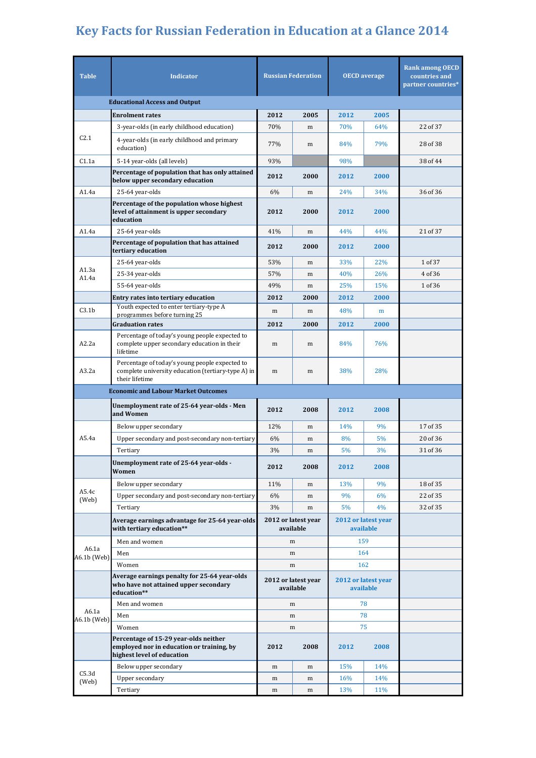# **Key Facts for Russian Federation in Education at a Glance 2014**

| <b>Table</b>                         | <b>Indicator</b>                                                                                                       | <b>Russian Federation</b>        |      | <b>OECD</b> average              |      | <b>Rank among OECD</b><br>countries and<br>partner countries* |  |  |  |
|--------------------------------------|------------------------------------------------------------------------------------------------------------------------|----------------------------------|------|----------------------------------|------|---------------------------------------------------------------|--|--|--|
| <b>Educational Access and Output</b> |                                                                                                                        |                                  |      |                                  |      |                                                               |  |  |  |
|                                      | <b>Enrolment rates</b>                                                                                                 | 2012                             | 2005 | 2012                             | 2005 |                                                               |  |  |  |
|                                      | 3-year-olds (in early childhood education)                                                                             | 70%                              | m    | 70%                              | 64%  | 22 of 37                                                      |  |  |  |
| C2.1                                 | 4-year-olds (in early childhood and primary<br>education)                                                              | 77%                              | m    | 84%                              | 79%  | 28 of 38                                                      |  |  |  |
| C1.1a                                | 5-14 year-olds (all levels)                                                                                            | 93%                              |      | 98%                              |      | 38 of 44                                                      |  |  |  |
|                                      | Percentage of population that has only attained<br>below upper secondary education                                     | 2012                             | 2000 | 2012                             | 2000 |                                                               |  |  |  |
| A1.4a                                | 25-64 year-olds                                                                                                        | 6%                               | m    | 24%                              | 34%  | 36 of 36                                                      |  |  |  |
|                                      | Percentage of the population whose highest<br>level of attainment is upper secondary<br>education                      | 2012                             | 2000 | 2012                             | 2000 |                                                               |  |  |  |
| A1.4a                                | 25-64 year-olds                                                                                                        | 41%                              | m    | 44%                              | 44%  | 21 of 37                                                      |  |  |  |
|                                      | Percentage of population that has attained<br>tertiary education                                                       | 2012                             | 2000 | 2012                             | 2000 |                                                               |  |  |  |
|                                      | 25-64 year-olds                                                                                                        | 53%                              | m    | 33%                              | 22%  | 1 of 37                                                       |  |  |  |
| A1.3a<br>A1.4a                       | 25-34 year-olds                                                                                                        | 57%                              | m    | 40%                              | 26%  | 4 of 36                                                       |  |  |  |
|                                      | 55-64 year-olds                                                                                                        | 49%                              | m    | 25%                              | 15%  | 1 of 36                                                       |  |  |  |
|                                      | Entry rates into tertiary education                                                                                    | 2012                             | 2000 | 2012                             | 2000 |                                                               |  |  |  |
| C3.1 <sub>b</sub>                    | Youth expected to enter tertiary-type A<br>programmes before turning 25                                                | m                                | m    | 48%                              | m    |                                                               |  |  |  |
|                                      | <b>Graduation rates</b>                                                                                                | 2012                             | 2000 | 2012                             | 2000 |                                                               |  |  |  |
| A2.2a                                | Percentage of today's young people expected to<br>complete upper secondary education in their<br>lifetime              | m                                | m    | 84%                              | 76%  |                                                               |  |  |  |
| A3.2a                                | Percentage of today's young people expected to<br>complete university education (tertiary-type A) in<br>their lifetime | m                                | m    | 38%                              | 28%  |                                                               |  |  |  |
|                                      | <b>Economic and Labour Market Outcomes</b>                                                                             |                                  |      |                                  |      |                                                               |  |  |  |
|                                      | Unemployment rate of 25-64 year-olds - Men<br>and Women                                                                | 2012                             | 2008 | 2012                             | 2008 |                                                               |  |  |  |
|                                      | Below upper secondary                                                                                                  | 12%                              | m    | 14%                              | 9%   | 17 of 35                                                      |  |  |  |
| A5.4a                                | Upper secondary and post-secondary non-tertiary                                                                        | 6%                               | m    | 8%                               | 5%   | 20 of 36                                                      |  |  |  |
|                                      | Tertiary                                                                                                               | 3%                               | m    | 5%                               | 3%   | 31 of 36                                                      |  |  |  |
|                                      | Unemployment rate of 25-64 year-olds -<br>Women                                                                        | 2012                             | 2008 | 2012                             | 2008 |                                                               |  |  |  |
|                                      | Below upper secondary                                                                                                  | 11%                              | m    | 13%                              | 9%   | 18 of 35                                                      |  |  |  |
| A5.4c<br>(Web)                       | Upper secondary and post-secondary non-tertiary                                                                        | 6%                               | m    | 9%                               | 6%   | 22 of 35                                                      |  |  |  |
|                                      | Tertiary                                                                                                               | 3%                               | m    | 5%                               | 4%   | 32 of 35                                                      |  |  |  |
|                                      | Average earnings advantage for 25-64 year-olds<br>with tertiary education**                                            | 2012 or latest year<br>available |      | 2012 or latest year<br>available |      |                                                               |  |  |  |
|                                      | Men and women                                                                                                          | m                                |      | 159                              |      |                                                               |  |  |  |
| A6.1a<br>A6.1b (Web)                 | Men                                                                                                                    | m                                |      | 164                              |      |                                                               |  |  |  |
|                                      | Women                                                                                                                  | m                                |      | 162                              |      |                                                               |  |  |  |
|                                      | Average earnings penalty for 25-64 year-olds<br>who have not attained upper secondary<br>education**                   | 2012 or latest year<br>available |      | 2012 or latest year<br>available |      |                                                               |  |  |  |
| A6.1a<br>A6.1b (Web)                 | Men and women                                                                                                          | m                                |      | 78                               |      |                                                               |  |  |  |
|                                      | Men                                                                                                                    | m                                |      | 78                               |      |                                                               |  |  |  |
|                                      | Women                                                                                                                  | m                                |      | 75                               |      |                                                               |  |  |  |
|                                      | Percentage of 15-29 year-olds neither<br>employed nor in education or training, by<br>highest level of education       | 2012                             | 2008 | 2012                             | 2008 |                                                               |  |  |  |
| C5.3d<br>(Web)                       | Below upper secondary                                                                                                  | m                                | m    | 15%                              | 14%  |                                                               |  |  |  |
|                                      | Upper secondary                                                                                                        | m                                | m    | 16%                              | 14%  |                                                               |  |  |  |
|                                      | Tertiary                                                                                                               | m                                | m    | 13%                              | 11%  |                                                               |  |  |  |